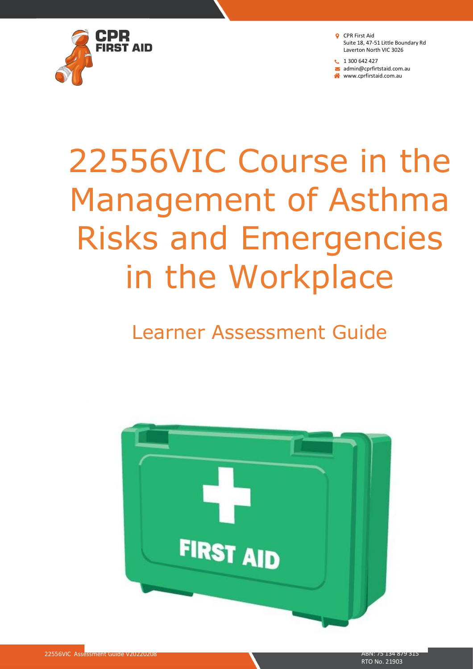

**t** 1 300 642 427 admin@cprfirtstaid.com.au www.cprfirstaid.com.au

# 22556VIC Course in the Management of Asthma Risks and Emergencies in the Workplace

## Learner Assessment Guide

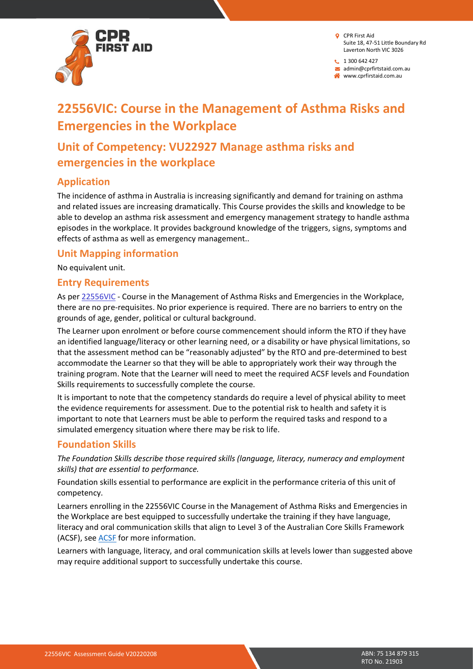

 $1300642427$ 

admin@cprfirtstaid.com.au

www.cprfirstaid.com.au

## **22556VIC: Course in the Management of Asthma Risks and Emergencies in the Workplace**

## **Unit of Competency: VU22927 Manage asthma risks and emergencies in the workplace**

#### **Application**

The incidence of asthma in Australia is increasing significantly and demand for training on asthma and related issues are increasing dramatically. This Course provides the skills and knowledge to be able to develop an asthma risk assessment and emergency management strategy to handle asthma episodes in the workplace. It provides background knowledge of the triggers, signs, symptoms and effects of asthma as well as emergency management..

#### **Unit Mapping information**

No equivalent unit.

#### **Entry Requirements**

As per [22556VIC](http://training.gov.au/Training/Details/22556VIC) - Course in the Management of Asthma Risks and Emergencies in the Workplace, there are no pre-requisites. No prior experience is required. There are no barriers to entry on the grounds of age, gender, political or cultural background.

The Learner upon enrolment or before course commencement should inform the RTO if they have an identified language/literacy or other learning need, or a disability or have physical limitations, so that the assessment method can be "reasonably adjusted" by the RTO and pre-determined to best accommodate the Learner so that they will be able to appropriately work their way through the training program. Note that the Learner will need to meet the required ACSF levels and Foundation Skills requirements to successfully complete the course.

It is important to note that the competency standards do require a level of physical ability to meet the evidence requirements for assessment. Due to the potential risk to health and safety it is important to note that Learners must be able to perform the required tasks and respond to a simulated emergency situation where there may be risk to life.

#### **Foundation Skills**

*The Foundation Skills describe those required skills (language, literacy, numeracy and employment skills) that are essential to performance.*

Foundation skills essential to performance are explicit in the performance criteria of this unit of competency.

Learners enrolling in the 22556VIC Course in the Management of Asthma Risks and Emergencies in the Workplace are best equipped to successfully undertake the training if they have language, literacy and oral communication skills that align to Level 3 of the Australian Core Skills Framework (ACSF), see [ACSF](https://docs.employment.gov.au/documents/australian-core-skills-framework) for more information.

Learners with language, literacy, and oral communication skills at levels lower than suggested above may require additional support to successfully undertake this course.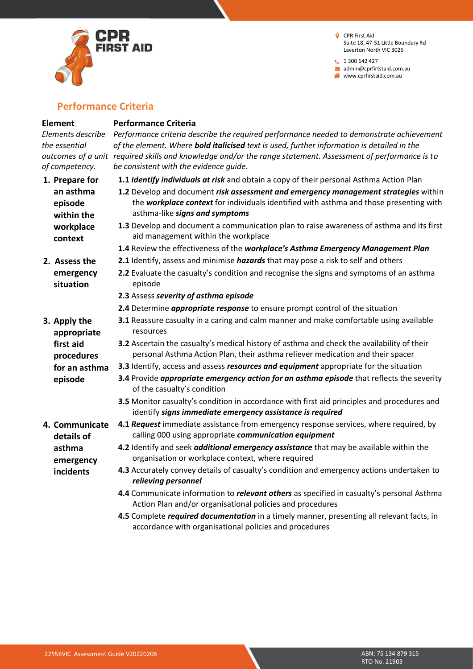

**t** 1 300 642 427 admin@cprfirtstaid.com.au www.cprfirstaid.com.au

#### **Performance Criteria**

#### **Element**

*the essential* 

*of competency.*

**1. Prepare for an asthma episode** 

#### **Performance Criteria**

*Elements describe outcomes of a unit required skills and knowledge and/or the range statement. Assessment of performance is to Performance criteria describe the required performance needed to demonstrate achievement of the element. Where bold italicised text is used, further information is detailed in the be consistent with the evidence guide.*

- **1.1** *Identify individuals at risk* and obtain a copy of their personal Asthma Action Plan
- **1.2** Develop and document *risk assessment and emergency management strategies* within the *workplace context* for individuals identified with asthma and those presenting with asthma-like *signs and symptoms*
	- **1.3** Develop and document a communication plan to raise awareness of asthma and its first aid management within the workplace
		- **1.4** Review the effectiveness of the *workplace's Asthma Emergency Management Plan*
		- **2.1** Identify, assess and minimise *hazards* that may pose a risk to self and others
	- **2.2** Evaluate the casualty's condition and recognise the signs and symptoms of an asthma episode
		- **2.3** Assess *severity of asthma episode*
		- **2.4** Determine *appropriate response* to ensure prompt control of the situation
	- **3.1** Reassure casualty in a caring and calm manner and make comfortable using available resources
	- **3.2** Ascertain the casualty's medical history of asthma and check the availability of their personal Asthma Action Plan, their asthma reliever medication and their spacer
	- **3.3** Identify, access and assess *resources and equipment* appropriate for the situation
	- **3.4** Provide *appropriate emergency action for an asthma episode* that reflects the severity of the casualty's condition
	- **3.5** Monitor casualty's condition in accordance with first aid principles and procedures and identify *signs immediate emergency assistance is required*
	- **4.1** *Request* immediate assistance from emergency response services, where required, by calling 000 using appropriate *communication equipment*
	- **4.2** Identify and seek *additional emergency assistance* that may be available within the organisation or workplace context, where required
	- **4.3** Accurately convey details of casualty's condition and emergency actions undertaken to *relieving personnel*
	- **4.4** Communicate information to *relevant others* as specified in casualty's personal Asthma Action Plan and/or organisational policies and procedures
	- **4.5** Complete *required documentation* in a timely manner, presenting all relevant facts, in accordance with organisational policies and procedures

**within the workplace context 2. Assess the** 

> **emergency situation**

**3. Apply the appropriate first aid procedures for an asthma episode**

**4. Communicate details of asthma emergency incidents**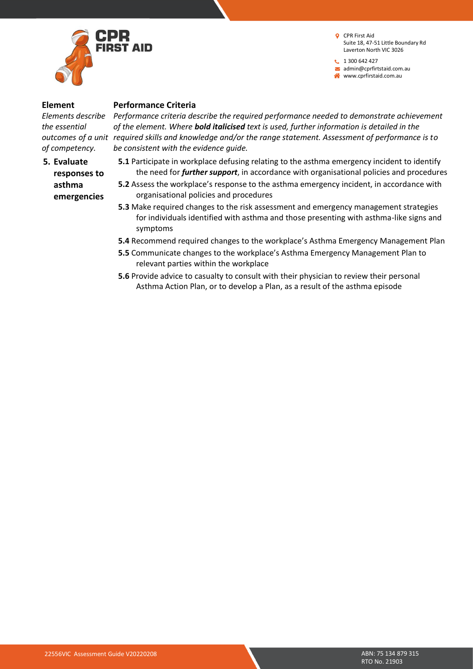

**t** 1 300 642 427 admin@cprfirtstaid.com.au www.cprfirstaid.com.au

#### **Element**

*the essential of competency.*

**5. Evaluate responses to asthma emergencies** 

#### **Performance Criteria**

*Elements describe Performance criteria describe the required performance needed to demonstrate achievement outcomes of a unit required skills and knowledge and/or the range statement. Assessment of performance is to of the element. Where bold italicised text is used, further information is detailed in the be consistent with the evidence guide.*

- **5.1** Participate in workplace defusing relating to the asthma emergency incident to identify the need for *further support*, in accordance with organisational policies and procedures
- **5.2** Assess the workplace's response to the asthma emergency incident, in accordance with organisational policies and procedures
- **5.3** Make required changes to the risk assessment and emergency management strategies for individuals identified with asthma and those presenting with asthma-like signs and symptoms
- **5.4** Recommend required changes to the workplace's Asthma Emergency Management Plan
- **5.5** Communicate changes to the workplace's Asthma Emergency Management Plan to relevant parties within the workplace
- **5.6** Provide advice to casualty to consult with their physician to review their personal Asthma Action Plan, or to develop a Plan, as a result of the asthma episode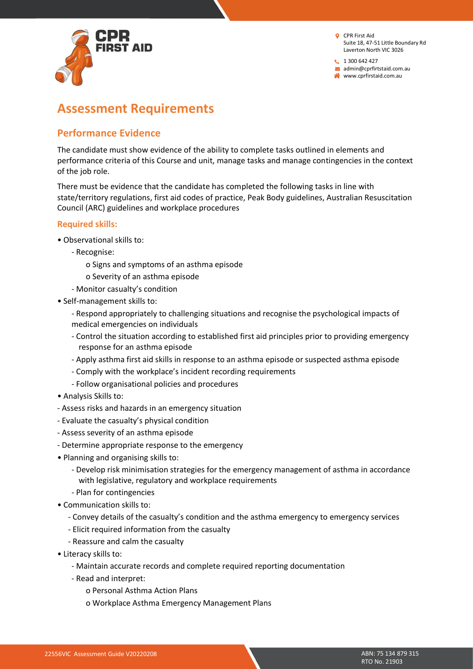

 $1300642427$ admin@cprfirtstaid.com.au www.cprfirstaid.com.au

## **Assessment Requirements**

#### **Performance Evidence**

The candidate must show evidence of the ability to complete tasks outlined in elements and performance criteria of this Course and unit, manage tasks and manage contingencies in the context of the job role.

There must be evidence that the candidate has completed the following tasks in line with state/territory regulations, first aid codes of practice, Peak Body guidelines, Australian Resuscitation Council (ARC) guidelines and workplace procedures

#### **Required skills:**

- Observational skills to:
	- Recognise:
		- o Signs and symptoms of an asthma episode
		- o Severity of an asthma episode
	- Monitor casualty's condition
- Self-management skills to:
	- Respond appropriately to challenging situations and recognise the psychological impacts of medical emergencies on individuals
	- Control the situation according to established first aid principles prior to providing emergency response for an asthma episode
	- Apply asthma first aid skills in response to an asthma episode or suspected asthma episode
	- Comply with the workplace's incident recording requirements
	- Follow organisational policies and procedures
- Analysis Skills to:
- Assess risks and hazards in an emergency situation
- Evaluate the casualty's physical condition
- Assess severity of an asthma episode
- Determine appropriate response to the emergency
- Planning and organising skills to:
	- Develop risk minimisation strategies for the emergency management of asthma in accordance with legislative, regulatory and workplace requirements
	- Plan for contingencies
- Communication skills to:
	- Convey details of the casualty's condition and the asthma emergency to emergency services
	- Elicit required information from the casualty
	- Reassure and calm the casualty
- Literacy skills to:
	- Maintain accurate records and complete required reporting documentation
	- Read and interpret:
		- o Personal Asthma Action Plans
		- o Workplace Asthma Emergency Management Plans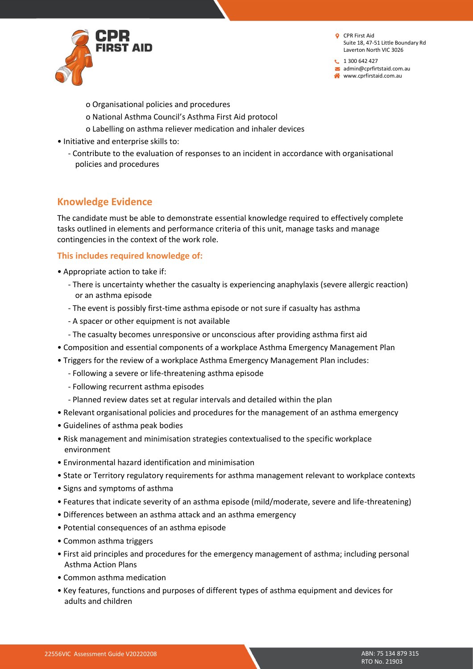

 $1300642427$ admin@cprfirtstaid.com.au www.cprfirstaid.com.au

- o Organisational policies and procedures
- o National Asthma Council's Asthma First Aid protocol
- o Labelling on asthma reliever medication and inhaler devices
- Initiative and enterprise skills to:
	- Contribute to the evaluation of responses to an incident in accordance with organisational policies and procedures

#### **Knowledge Evidence**

The candidate must be able to demonstrate essential knowledge required to effectively complete tasks outlined in elements and performance criteria of this unit, manage tasks and manage contingencies in the context of the work role.

#### **This includes required knowledge of:**

- Appropriate action to take if:
	- There is uncertainty whether the casualty is experiencing anaphylaxis (severe allergic reaction) or an asthma episode
	- The event is possibly first-time asthma episode or not sure if casualty has asthma
	- A spacer or other equipment is not available
	- The casualty becomes unresponsive or unconscious after providing asthma first aid
- Composition and essential components of a workplace Asthma Emergency Management Plan
- Triggers for the review of a workplace Asthma Emergency Management Plan includes:
	- Following a severe or life-threatening asthma episode
	- Following recurrent asthma episodes
	- Planned review dates set at regular intervals and detailed within the plan
- Relevant organisational policies and procedures for the management of an asthma emergency
- Guidelines of asthma peak bodies
- Risk management and minimisation strategies contextualised to the specific workplace environment
- Environmental hazard identification and minimisation
- State or Territory regulatory requirements for asthma management relevant to workplace contexts
- Signs and symptoms of asthma
- Features that indicate severity of an asthma episode (mild/moderate, severe and life-threatening)
- Differences between an asthma attack and an asthma emergency
- Potential consequences of an asthma episode
- Common asthma triggers
- First aid principles and procedures for the emergency management of asthma; including personal Asthma Action Plans
- Common asthma medication
- Key features, functions and purposes of different types of asthma equipment and devices for adults and children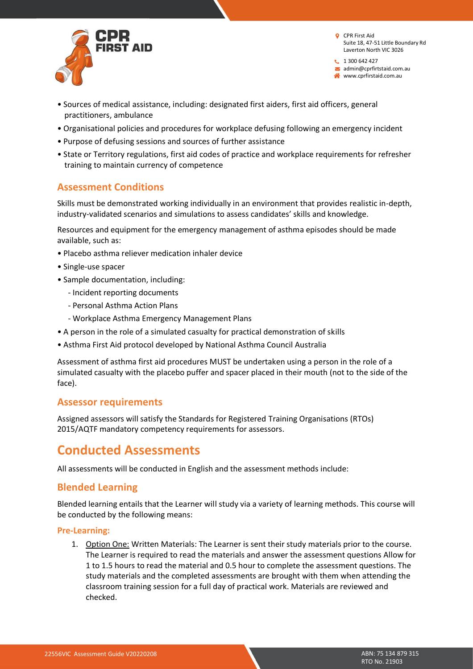

 $1300642427$ admin@cprfirtstaid.com.au www.cprfirstaid.com.au

- Sources of medical assistance, including: designated first aiders, first aid officers, general practitioners, ambulance
- Organisational policies and procedures for workplace defusing following an emergency incident
- Purpose of defusing sessions and sources of further assistance
- State or Territory regulations, first aid codes of practice and workplace requirements for refresher training to maintain currency of competence

#### **Assessment Conditions**

Skills must be demonstrated working individually in an environment that provides realistic in-depth, industry-validated scenarios and simulations to assess candidates' skills and knowledge.

Resources and equipment for the emergency management of asthma episodes should be made available, such as:

- Placebo asthma reliever medication inhaler device
- Single-use spacer
- Sample documentation, including:
	- Incident reporting documents
	- Personal Asthma Action Plans
	- Workplace Asthma Emergency Management Plans
- A person in the role of a simulated casualty for practical demonstration of skills
- Asthma First Aid protocol developed by National Asthma Council Australia

Assessment of asthma first aid procedures MUST be undertaken using a person in the role of a simulated casualty with the placebo puffer and spacer placed in their mouth (not to the side of the face).

#### **Assessor requirements**

Assigned assessors will satisfy the Standards for Registered Training Organisations (RTOs) 2015/AQTF mandatory competency requirements for assessors.

### **Conducted Assessments**

All assessments will be conducted in English and the assessment methods include:

#### **Blended Learning**

Blended learning entails that the Learner will study via a variety of learning methods. This course will be conducted by the following means:

#### **Pre-Learning:**

1. Option One: Written Materials: The Learner is sent their study materials prior to the course. The Learner is required to read the materials and answer the assessment questions Allow for 1 to 1.5 hours to read the material and 0.5 hour to complete the assessment questions. The study materials and the completed assessments are brought with them when attending the classroom training session for a full day of practical work. Materials are reviewed and checked.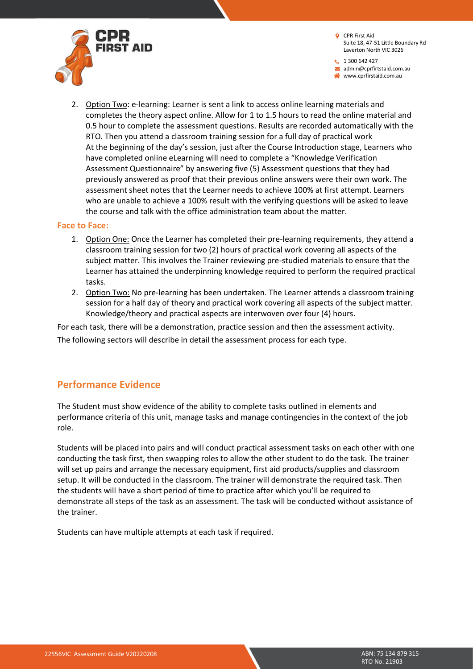

1 300 642 427 admin@cprfirtstaid.com.au www.cprfirstaid.com.au

2. Option Two: e-learning: Learner is sent a link to access online learning materials and completes the theory aspect online. Allow for 1 to 1.5 hours to read the online material and 0.5 hour to complete the assessment questions. Results are recorded automatically with the RTO. Then you attend a classroom training session for a full day of practical work At the beginning of the day's session, just after the Course Introduction stage, Learners who have completed online eLearning will need to complete a "Knowledge Verification Assessment Questionnaire" by answering five (5) Assessment questions that they had previously answered as proof that their previous online answers were their own work. The assessment sheet notes that the Learner needs to achieve 100% at first attempt. Learners who are unable to achieve a 100% result with the verifying questions will be asked to leave the course and talk with the office administration team about the matter.

#### **Face to Face:**

- 1. Option One: Once the Learner has completed their pre-learning requirements, they attend a classroom training session for two (2) hours of practical work covering all aspects of the subject matter. This involves the Trainer reviewing pre-studied materials to ensure that the Learner has attained the underpinning knowledge required to perform the required practical tasks.
- 2. Option Two: No pre-learning has been undertaken. The Learner attends a classroom training session for a half day of theory and practical work covering all aspects of the subject matter. Knowledge/theory and practical aspects are interwoven over four (4) hours.

For each task, there will be a demonstration, practice session and then the assessment activity. The following sectors will describe in detail the assessment process for each type.

#### **Performance Evidence**

The Student must show evidence of the ability to complete tasks outlined in elements and performance criteria of this unit, manage tasks and manage contingencies in the context of the job role.

Students will be placed into pairs and will conduct practical assessment tasks on each other with one conducting the task first, then swapping roles to allow the other student to do the task. The trainer will set up pairs and arrange the necessary equipment, first aid products/supplies and classroom setup. It will be conducted in the classroom. The trainer will demonstrate the required task. Then the students will have a short period of time to practice after which you'll be required to demonstrate all steps of the task as an assessment. The task will be conducted without assistance of the trainer.

Students can have multiple attempts at each task if required.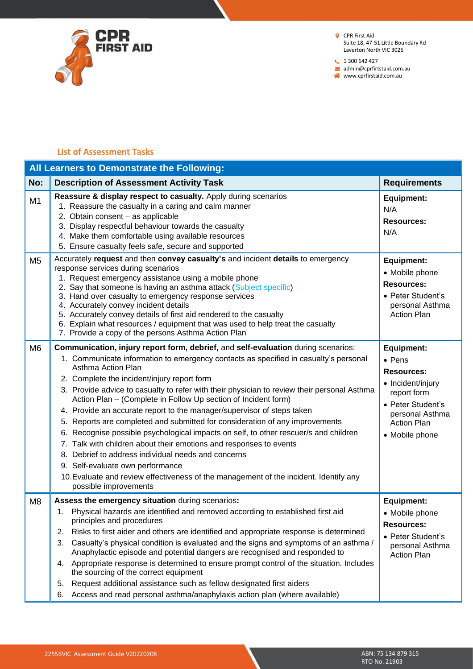

 $1300642427$ admin@cprfirtstaid.com.au

www.cprfirstaid.com.au

#### **List of Assessment Tasks**

|                | All Learners to Demonstrate the Following:                                                                                                                                                                                                                                                                                                                                                                                                                                                                                                                                                                                                                                                                                                                                                                                                                                                                                                           |                                                                                                                                                                              |  |  |  |  |
|----------------|------------------------------------------------------------------------------------------------------------------------------------------------------------------------------------------------------------------------------------------------------------------------------------------------------------------------------------------------------------------------------------------------------------------------------------------------------------------------------------------------------------------------------------------------------------------------------------------------------------------------------------------------------------------------------------------------------------------------------------------------------------------------------------------------------------------------------------------------------------------------------------------------------------------------------------------------------|------------------------------------------------------------------------------------------------------------------------------------------------------------------------------|--|--|--|--|
| No:            | <b>Description of Assessment Activity Task</b>                                                                                                                                                                                                                                                                                                                                                                                                                                                                                                                                                                                                                                                                                                                                                                                                                                                                                                       | <b>Requirements</b>                                                                                                                                                          |  |  |  |  |
| M <sub>1</sub> | Reassure & display respect to casualty. Apply during scenarios<br>1. Reassure the casualty in a caring and calm manner<br>2. Obtain consent - as applicable<br>3. Display respectful behaviour towards the casualty<br>4. Make them comfortable using available resources<br>5. Ensure casualty feels safe, secure and supported                                                                                                                                                                                                                                                                                                                                                                                                                                                                                                                                                                                                                     | <b>Equipment:</b><br>N/A<br><b>Resources:</b><br>N/A                                                                                                                         |  |  |  |  |
| M <sub>5</sub> | Accurately request and then convey casualty's and incident details to emergency<br>response services during scenarios<br>1. Request emergency assistance using a mobile phone<br>2. Say that someone is having an asthma attack (Subject specific)<br>3. Hand over casualty to emergency response services<br>4. Accurately convey incident details<br>5. Accurately convey details of first aid rendered to the casualty<br>6. Explain what resources / equipment that was used to help treat the casualty<br>7. Provide a copy of the persons Asthma Action Plan                                                                                                                                                                                                                                                                                                                                                                                   | <b>Equipment:</b><br>• Mobile phone<br><b>Resources:</b><br>• Peter Student's<br>personal Asthma<br><b>Action Plan</b>                                                       |  |  |  |  |
| M <sub>6</sub> | Communication, injury report form, debrief, and self-evaluation during scenarios:<br>1. Communicate information to emergency contacts as specified in casualty's personal<br>Asthma Action Plan<br>2. Complete the incident/injury report form<br>3. Provide advice to casualty to refer with their physician to review their personal Asthma<br>Action Plan - (Complete in Follow Up section of Incident form)<br>4. Provide an accurate report to the manager/supervisor of steps taken<br>5. Reports are completed and submitted for consideration of any improvements<br>6. Recognise possible psychological impacts on self, to other rescuer/s and children<br>7. Talk with children about their emotions and responses to events<br>8. Debrief to address individual needs and concerns<br>9. Self-evaluate own performance<br>10. Evaluate and review effectiveness of the management of the incident. Identify any<br>possible improvements | <b>Equipment:</b><br>$\bullet$ Pens<br><b>Resources:</b><br>• Incident/injury<br>report form<br>• Peter Student's<br>personal Asthma<br><b>Action Plan</b><br>• Mobile phone |  |  |  |  |
| M <sub>8</sub> | Assess the emergency situation during scenarios:<br>1. Physical hazards are identified and removed according to established first aid<br>principles and procedures<br>Risks to first aider and others are identified and appropriate response is determined<br>2.<br>Casualty's physical condition is evaluated and the signs and symptoms of an asthma /<br>3.<br>Anaphylactic episode and potential dangers are recognised and responded to<br>4. Appropriate response is determined to ensure prompt control of the situation. Includes<br>the sourcing of the correct equipment<br>Request additional assistance such as fellow designated first aiders<br>5.<br>Access and read personal asthma/anaphylaxis action plan (where available)<br>6.                                                                                                                                                                                                 | <b>Equipment:</b><br>• Mobile phone<br><b>Resources:</b><br>• Peter Student's<br>personal Asthma<br><b>Action Plan</b>                                                       |  |  |  |  |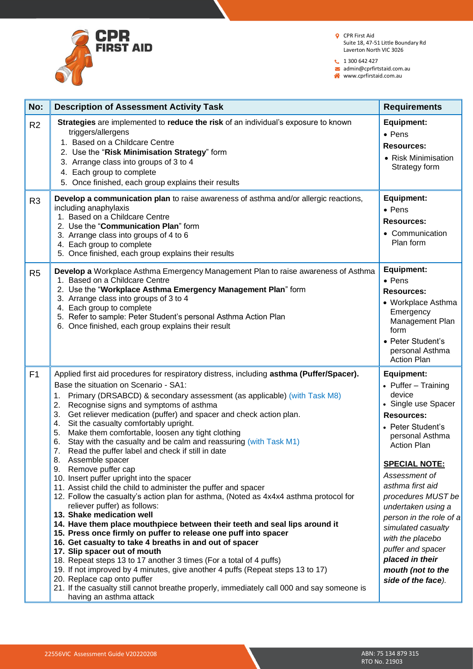

 $1300642427$ 

admin@cprfirtstaid.com.au

www.cprfirstaid.com.au

| No:            | <b>Description of Assessment Activity Task</b>                                                                                                                                                                                                                                                                                                                                                                                                                                                                                                                                                                                                                                                                                                                                                                                                                                                                                                                                                                                                                                                                                                                                                                                                                                                                                                                                                                                                                                | <b>Requirements</b>                                                                                                                                                                                                                                                                                                                                                                                                             |
|----------------|-------------------------------------------------------------------------------------------------------------------------------------------------------------------------------------------------------------------------------------------------------------------------------------------------------------------------------------------------------------------------------------------------------------------------------------------------------------------------------------------------------------------------------------------------------------------------------------------------------------------------------------------------------------------------------------------------------------------------------------------------------------------------------------------------------------------------------------------------------------------------------------------------------------------------------------------------------------------------------------------------------------------------------------------------------------------------------------------------------------------------------------------------------------------------------------------------------------------------------------------------------------------------------------------------------------------------------------------------------------------------------------------------------------------------------------------------------------------------------|---------------------------------------------------------------------------------------------------------------------------------------------------------------------------------------------------------------------------------------------------------------------------------------------------------------------------------------------------------------------------------------------------------------------------------|
| R <sub>2</sub> | Strategies are implemented to reduce the risk of an individual's exposure to known<br>triggers/allergens<br>1. Based on a Childcare Centre<br>2. Use the "Risk Minimisation Strategy" form<br>3. Arrange class into groups of 3 to 4<br>4. Each group to complete<br>5. Once finished, each group explains their results                                                                                                                                                                                                                                                                                                                                                                                                                                                                                                                                                                                                                                                                                                                                                                                                                                                                                                                                                                                                                                                                                                                                                      | <b>Equipment:</b><br>• Pens<br><b>Resources:</b><br>• Risk Minimisation<br>Strategy form                                                                                                                                                                                                                                                                                                                                        |
| R <sub>3</sub> | Develop a communication plan to raise awareness of asthma and/or allergic reactions,<br>including anaphylaxis<br>1. Based on a Childcare Centre<br>2. Use the "Communication Plan" form<br>3. Arrange class into groups of 4 to 6<br>4. Each group to complete<br>5. Once finished, each group explains their results                                                                                                                                                                                                                                                                                                                                                                                                                                                                                                                                                                                                                                                                                                                                                                                                                                                                                                                                                                                                                                                                                                                                                         | <b>Equipment:</b><br>• Pens<br><b>Resources:</b><br>• Communication<br>Plan form                                                                                                                                                                                                                                                                                                                                                |
| R <sub>5</sub> | Develop a Workplace Asthma Emergency Management Plan to raise awareness of Asthma<br>1. Based on a Childcare Centre<br>2. Use the "Workplace Asthma Emergency Management Plan" form<br>3. Arrange class into groups of 3 to 4<br>4. Each group to complete<br>5. Refer to sample: Peter Student's personal Asthma Action Plan<br>6. Once finished, each group explains their result                                                                                                                                                                                                                                                                                                                                                                                                                                                                                                                                                                                                                                                                                                                                                                                                                                                                                                                                                                                                                                                                                           | <b>Equipment:</b><br>• Pens<br><b>Resources:</b><br>• Workplace Asthma<br>Emergency<br>Management Plan<br>form<br>• Peter Student's<br>personal Asthma<br><b>Action Plan</b>                                                                                                                                                                                                                                                    |
| F1             | Applied first aid procedures for respiratory distress, including asthma (Puffer/Spacer).<br>Base the situation on Scenario - SA1:<br>Primary (DRSABCD) & secondary assessment (as applicable) (with Task M8)<br>1.<br>2.<br>Recognise signs and symptoms of asthma<br>3.<br>Get reliever medication (puffer) and spacer and check action plan.<br>Sit the casualty comfortably upright.<br>4.<br>Make them comfortable, loosen any tight clothing<br>5.<br>Stay with the casualty and be calm and reassuring (with Task M1)<br>6.<br>7.<br>Read the puffer label and check if still in date<br>8. Assemble spacer<br>Remove puffer cap<br>9.<br>10. Insert puffer upright into the spacer<br>11. Assist child the child to administer the puffer and spacer<br>12. Follow the casualty's action plan for asthma, (Noted as 4x4x4 asthma protocol for<br>reliever puffer) as follows:<br>13. Shake medication well<br>14. Have them place mouthpiece between their teeth and seal lips around it<br>15. Press once firmly on puffer to release one puff into spacer<br>16. Get casualty to take 4 breaths in and out of spacer<br>17. Slip spacer out of mouth<br>18. Repeat steps 13 to 17 another 3 times (For a total of 4 puffs)<br>19. If not improved by 4 minutes, give another 4 puffs (Repeat steps 13 to 17)<br>20. Replace cap onto puffer<br>21. If the casualty still cannot breathe properly, immediately call 000 and say someone is<br>having an asthma attack | <b>Equipment:</b><br>• Puffer $-$ Training<br>device<br>• Single use Spacer<br><b>Resources:</b><br>• Peter Student's<br>personal Asthma<br><b>Action Plan</b><br><b>SPECIAL NOTE:</b><br>Assessment of<br>asthma first aid<br>procedures MUST be<br>undertaken using a<br>person in the role of a<br>simulated casualty<br>with the placebo<br>puffer and spacer<br>placed in their<br>mouth (not to the<br>side of the face). |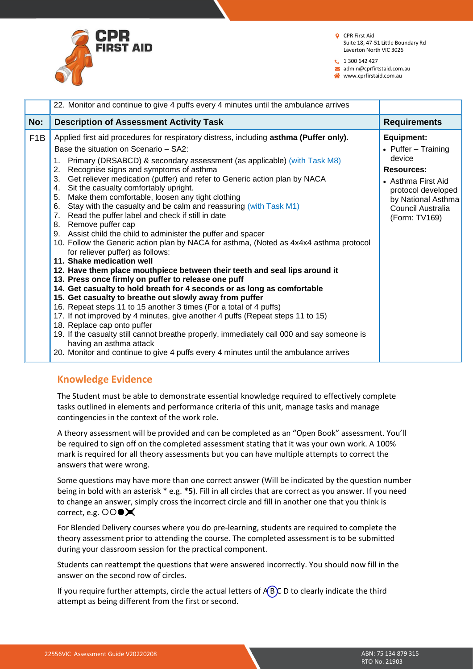

- **Q** CPR First Aid Suite 18, 47-51 Little Boundary Rd Laverton North VIC 3026
- $1300642427$

admin@cprfirtstaid.com.au

| www.cprfirstaid.com.au |
|------------------------|
|                        |

|                  | 22. Monitor and continue to give 4 puffs every 4 minutes until the ambulance arrives                                                                                                                                                                                                                                                                                                                                                                                                                                                                                                                                                                                                                                                                                                                                                                                                                                                                                                                                                                                                                                                                                                                                                                                                                                                                                                                                                                                                                                                       |                                                                                                                                                                                   |
|------------------|--------------------------------------------------------------------------------------------------------------------------------------------------------------------------------------------------------------------------------------------------------------------------------------------------------------------------------------------------------------------------------------------------------------------------------------------------------------------------------------------------------------------------------------------------------------------------------------------------------------------------------------------------------------------------------------------------------------------------------------------------------------------------------------------------------------------------------------------------------------------------------------------------------------------------------------------------------------------------------------------------------------------------------------------------------------------------------------------------------------------------------------------------------------------------------------------------------------------------------------------------------------------------------------------------------------------------------------------------------------------------------------------------------------------------------------------------------------------------------------------------------------------------------------------|-----------------------------------------------------------------------------------------------------------------------------------------------------------------------------------|
| No:              | <b>Description of Assessment Activity Task</b>                                                                                                                                                                                                                                                                                                                                                                                                                                                                                                                                                                                                                                                                                                                                                                                                                                                                                                                                                                                                                                                                                                                                                                                                                                                                                                                                                                                                                                                                                             | <b>Requirements</b>                                                                                                                                                               |
| F <sub>1</sub> B | Applied first aid procedures for respiratory distress, including asthma (Puffer only).<br>Base the situation on Scenario - SA2:<br>Primary (DRSABCD) & secondary assessment (as applicable) (with Task M8)<br>1.<br>Recognise signs and symptoms of asthma<br>2.<br>Get reliever medication (puffer) and refer to Generic action plan by NACA<br>3.<br>Sit the casualty comfortably upright.<br>4.<br>Make them comfortable, loosen any tight clothing<br>5.<br>Stay with the casualty and be calm and reassuring (with Task M1)<br>6.<br>Read the puffer label and check if still in date<br>7.<br>8. Remove puffer cap<br>Assist child the child to administer the puffer and spacer<br>9.<br>10. Follow the Generic action plan by NACA for asthma, (Noted as 4x4x4 asthma protocol<br>for reliever puffer) as follows:<br>11. Shake medication well<br>12. Have them place mouthpiece between their teeth and seal lips around it<br>13. Press once firmly on puffer to release one puff<br>14. Get casualty to hold breath for 4 seconds or as long as comfortable<br>15. Get casualty to breathe out slowly away from puffer<br>16. Repeat steps 11 to 15 another 3 times (For a total of 4 puffs)<br>17. If not improved by 4 minutes, give another 4 puffs (Repeat steps 11 to 15)<br>18. Replace cap onto puffer<br>19. If the casualty still cannot breathe properly, immediately call 000 and say someone is<br>having an asthma attack<br>20. Monitor and continue to give 4 puffs every 4 minutes until the ambulance arrives | <b>Equipment:</b><br>• Puffer $-$ Training<br>device<br><b>Resources:</b><br>• Asthma First Aid<br>protocol developed<br>by National Asthma<br>Council Australia<br>(Form: TV169) |

#### **Knowledge Evidence**

The Student must be able to demonstrate essential knowledge required to effectively complete tasks outlined in elements and performance criteria of this unit, manage tasks and manage contingencies in the context of the work role.

A theory assessment will be provided and can be completed as an "Open Book" assessment. You'll be required to sign off on the completed assessment stating that it was your own work. A 100% mark is required for all theory assessments but you can have multiple attempts to correct the answers that were wrong.

Some questions may have more than one correct answer (Will be indicated by the question number being in bold with an asterisk \* e.g. **\*5**). Fill in all circles that are correct as you answer. If you need to change an answer, simply cross the incorrect circle and fill in another one that you think is correct, e.g.  $\bigcirc \bigcirc \bullet \bigtimes$ 

For Blended Delivery courses where you do pre-learning, students are required to complete the theory assessment prior to attending the course. The completed assessment is to be submitted during your classroom session for the practical component.

Students can reattempt the questions that were answered incorrectly. You should now fill in the answer on the second row of circles.

If you require further attempts, circle the actual letters of  $\angle$ B $\angle$ C D to clearly indicate the third attempt as being different from the first or second.